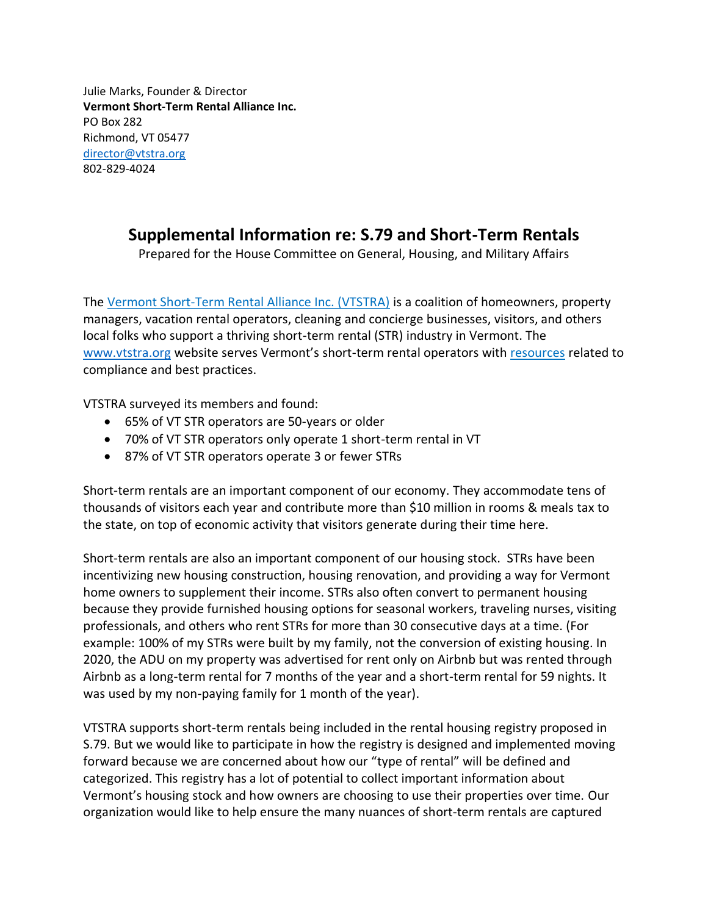Julie Marks, Founder & Director **Vermont Short-Term Rental Alliance Inc.** PO Box 282 Richmond, VT 05477 [director@vtstra.org](mailto:director@vtstra.org) 802-829-4024

## **Supplemental Information re: S.79 and Short-Term Rentals**

Prepared for the House Committee on General, Housing, and Military Affairs

The [Vermont Short-Term Rental Alliance Inc. \(VTSTRA\)](http://www.vtstra.org/) is a coalition of homeowners, property managers, vacation rental operators, cleaning and concierge businesses, visitors, and others local folks who support a thriving short-term rental (STR) industry in Vermont. The [www.vtstra.org](http://www.vtstra.org/) website serves Vermont's short-term rental operators with [resources](http://www.vtstra.org/resources) related to compliance and best practices.

VTSTRA surveyed its members and found:

- 65% of VT STR operators are 50-years or older
- 70% of VT STR operators only operate 1 short-term rental in VT
- 87% of VT STR operators operate 3 or fewer STRs

Short-term rentals are an important component of our economy. They accommodate tens of thousands of visitors each year and contribute more than \$10 million in rooms & meals tax to the state, on top of economic activity that visitors generate during their time here.

Short-term rentals are also an important component of our housing stock. STRs have been incentivizing new housing construction, housing renovation, and providing a way for Vermont home owners to supplement their income. STRs also often convert to permanent housing because they provide furnished housing options for seasonal workers, traveling nurses, visiting professionals, and others who rent STRs for more than 30 consecutive days at a time. (For example: 100% of my STRs were built by my family, not the conversion of existing housing. In 2020, the ADU on my property was advertised for rent only on Airbnb but was rented through Airbnb as a long-term rental for 7 months of the year and a short-term rental for 59 nights. It was used by my non-paying family for 1 month of the year).

VTSTRA supports short-term rentals being included in the rental housing registry proposed in S.79. But we would like to participate in how the registry is designed and implemented moving forward because we are concerned about how our "type of rental" will be defined and categorized. This registry has a lot of potential to collect important information about Vermont's housing stock and how owners are choosing to use their properties over time. Our organization would like to help ensure the many nuances of short-term rentals are captured